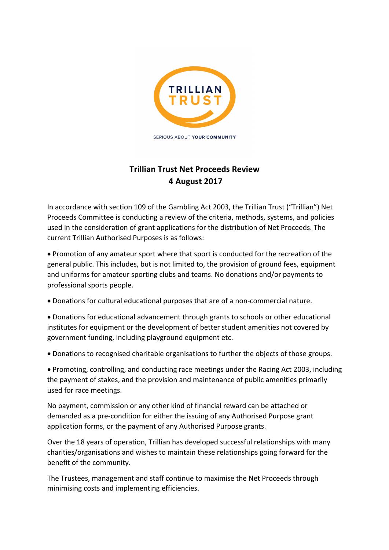

SERIOUS ABOUT YOUR COMMUNITY

# **Trillian Trust Net Proceeds Review 4 August 2017**

In accordance with section 109 of the Gambling Act 2003, the Trillian Trust ("Trillian") Net Proceeds Committee is conducting a review of the criteria, methods, systems, and policies used in the consideration of grant applications for the distribution of Net Proceeds. The current Trillian Authorised Purposes is as follows:

• Promotion of any amateur sport where that sport is conducted for the recreation of the general public. This includes, but is not limited to, the provision of ground fees, equipment and uniforms for amateur sporting clubs and teams. No donations and/or payments to professional sports people.

- Donations for cultural educational purposes that are of a non-commercial nature.
- Donations for educational advancement through grants to schools or other educational institutes for equipment or the development of better student amenities not covered by government funding, including playground equipment etc.
- Donations to recognised charitable organisations to further the objects of those groups.

• Promoting, controlling, and conducting race meetings under the Racing Act 2003, including the payment of stakes, and the provision and maintenance of public amenities primarily used for race meetings.

No payment, commission or any other kind of financial reward can be attached or demanded as a pre-condition for either the issuing of any Authorised Purpose grant application forms, or the payment of any Authorised Purpose grants.

Over the 18 years of operation, Trillian has developed successful relationships with many charities/organisations and wishes to maintain these relationships going forward for the benefit of the community.

The Trustees, management and staff continue to maximise the Net Proceeds through minimising costs and implementing efficiencies.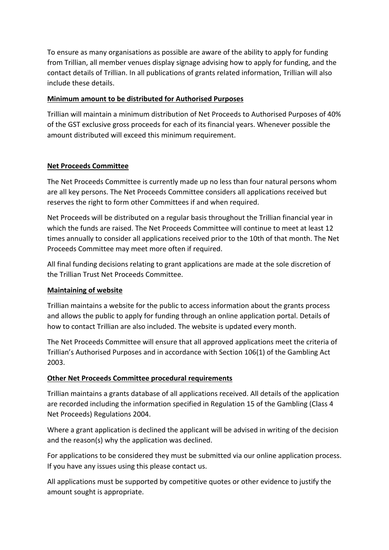To ensure as many organisations as possible are aware of the ability to apply for funding from Trillian, all member venues display signage advising how to apply for funding, and the contact details of Trillian. In all publications of grants related information, Trillian will also include these details.

## **Minimum amount to be distributed for Authorised Purposes**

Trillian will maintain a minimum distribution of Net Proceeds to Authorised Purposes of 40% of the GST exclusive gross proceeds for each of its financial years. Whenever possible the amount distributed will exceed this minimum requirement.

## **Net Proceeds Committee**

The Net Proceeds Committee is currently made up no less than four natural persons whom are all key persons. The Net Proceeds Committee considers all applications received but reserves the right to form other Committees if and when required.

Net Proceeds will be distributed on a regular basis throughout the Trillian financial year in which the funds are raised. The Net Proceeds Committee will continue to meet at least 12 times annually to consider all applications received prior to the 10th of that month. The Net Proceeds Committee may meet more often if required.

All final funding decisions relating to grant applications are made at the sole discretion of the Trillian Trust Net Proceeds Committee.

## **Maintaining of website**

Trillian maintains a website for the public to access information about the grants process and allows the public to apply for funding through an online application portal. Details of how to contact Trillian are also included. The website is updated every month.

The Net Proceeds Committee will ensure that all approved applications meet the criteria of Trillian's Authorised Purposes and in accordance with Section 106(1) of the Gambling Act 2003.

## **Other Net Proceeds Committee procedural requirements**

Trillian maintains a grants database of all applications received. All details of the application are recorded including the information specified in Regulation 15 of the Gambling (Class 4 Net Proceeds) Regulations 2004.

Where a grant application is declined the applicant will be advised in writing of the decision and the reason(s) why the application was declined.

For applications to be considered they must be submitted via our online application process. If you have any issues using this please contact us.

All applications must be supported by competitive quotes or other evidence to justify the amount sought is appropriate.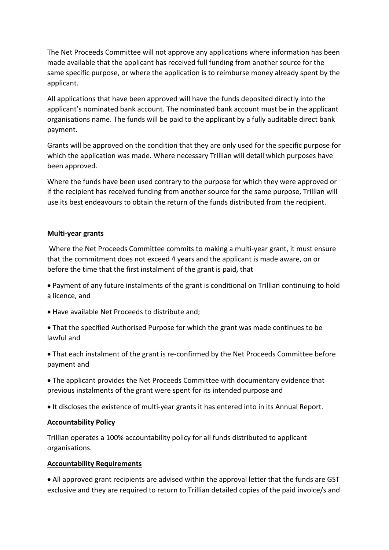The Net Proceeds Committee will not approve any applications where information has been made available that the applicant has received full funding from another source for the same specific purpose, or where the application is to reimburse money already spent by the applicant.

All applications that have been approved will have the funds deposited directly into the applicant's nominated bank account. The nominated bank account must be in the applicant organisations name. The funds will be paid to the applicant by a fully auditable direct bank payment.

Grants will be approved on the condition that they are only used for the specific purpose for which the application was made. Where necessary Trillian will detail which purposes have been approved.

Where the funds have been used contrary to the purpose for which they were approved or if the recipient has received funding from another source for the same purpose, Trillian will use its best endeavours to obtain the return of the funds distributed from the recipient.

## **Multi-year grants**

Where the Net Proceeds Committee commits to making a multi-year grant, it must ensure that the commitment does not exceed 4 years and the applicant is made aware, on or before the time that the first instalment of the grant is paid, that

- Payment of any future instalments of the grant is conditional on Trillian continuing to hold a licence, and
- Have available Net Proceeds to distribute and;
- That the specified Authorised Purpose for which the grant was made continues to be lawful and
- That each instalment of the grant is re-confirmed by the Net Proceeds Committee before payment and
- The applicant provides the Net Proceeds Committee with documentary evidence that previous instalments of the grant were spent for its intended purpose and
- It discloses the existence of multi-year grants it has entered into in its Annual Report.

## **Accountability Policy**

Trillian operates a 100% accountability policy for all funds distributed to applicant organisations.

## **Accountability Requirements**

• All approved grant recipients are advised within the approval letter that the funds are GST exclusive and they are required to return to Trillian detailed copies of the paid invoice/s and